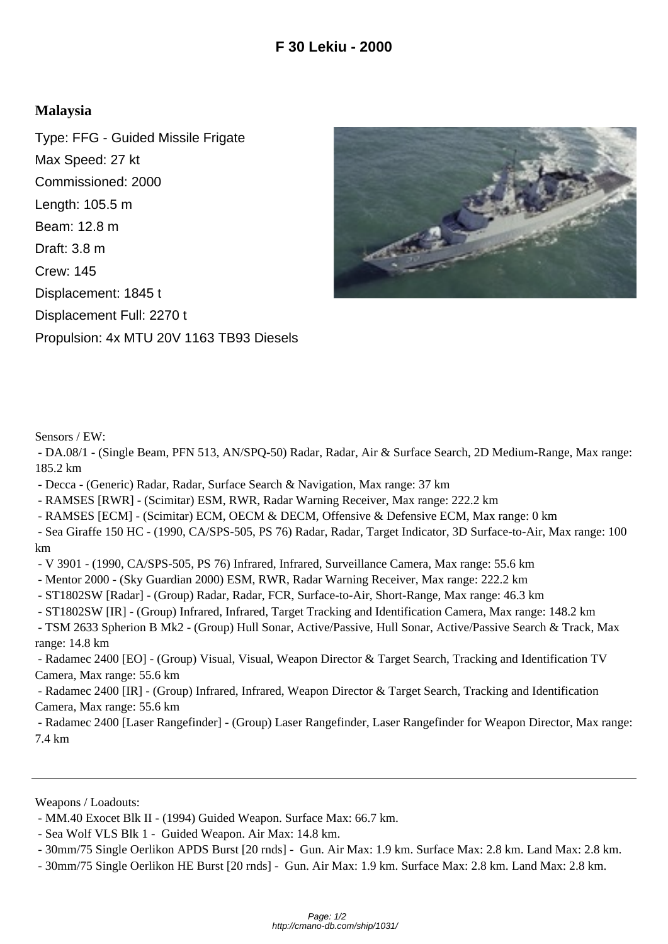## **Malaysia**

Type: FFG - Guided Missile Frigate Max Speed: 27 kt Commissioned: 2000 Length: 105.5 m Beam: 12.8 m Draft: 3.8 m Crew: 145 Displacement: 1845 t Displacement Full: 2270 t Propulsion: 4x MTU 20V 1163 TB93 Diesels



Sensors / EW:

 - DA.08/1 - (Single Beam, PFN 513, AN/SPQ-50) Radar, Radar, Air & Surface Search, 2D Medium-Range, Max range: 185.2 km

- Decca - (Generic) Radar, Radar, Surface Search & Navigation, Max range: 37 km

- RAMSES [RWR] - (Scimitar) ESM, RWR, Radar Warning Receiver, Max range: 222.2 km

- RAMSES [ECM] - (Scimitar) ECM, OECM & DECM, Offensive & Defensive ECM, Max range: 0 km

 - Sea Giraffe 150 HC - (1990, CA/SPS-505, PS 76) Radar, Radar, Target Indicator, 3D Surface-to-Air, Max range: 100 km

- V 3901 - (1990, CA/SPS-505, PS 76) Infrared, Infrared, Surveillance Camera, Max range: 55.6 km

- Mentor 2000 - (Sky Guardian 2000) ESM, RWR, Radar Warning Receiver, Max range: 222.2 km

- ST1802SW [Radar] - (Group) Radar, Radar, FCR, Surface-to-Air, Short-Range, Max range: 46.3 km

- ST1802SW [IR] - (Group) Infrared, Infrared, Target Tracking and Identification Camera, Max range: 148.2 km

 - TSM 2633 Spherion B Mk2 - (Group) Hull Sonar, Active/Passive, Hull Sonar, Active/Passive Search & Track, Max range: 14.8 km

 - Radamec 2400 [EO] - (Group) Visual, Visual, Weapon Director & Target Search, Tracking and Identification TV Camera, Max range: 55.6 km

 - Radamec 2400 [IR] - (Group) Infrared, Infrared, Weapon Director & Target Search, Tracking and Identification Camera, Max range: 55.6 km

 - Radamec 2400 [Laser Rangefinder] - (Group) Laser Rangefinder, Laser Rangefinder for Weapon Director, Max range: 7.4 km

Weapons / Loadouts:

 <sup>-</sup> MM.40 Exocet Blk II - (1994) Guided Weapon. Surface Max: 66.7 km.

 <sup>-</sup> Sea Wolf VLS Blk 1 - Guided Weapon. Air Max: 14.8 km.

 <sup>- 30</sup>mm/75 Single Oerlikon APDS Burst [20 rnds] - Gun. Air Max: 1.9 km. Surface Max: 2.8 km. Land Max: 2.8 km.

 <sup>- 30</sup>mm/75 Single Oerlikon HE Burst [20 rnds] - Gun. Air Max: 1.9 km. Surface Max: 2.8 km. Land Max: 2.8 km.